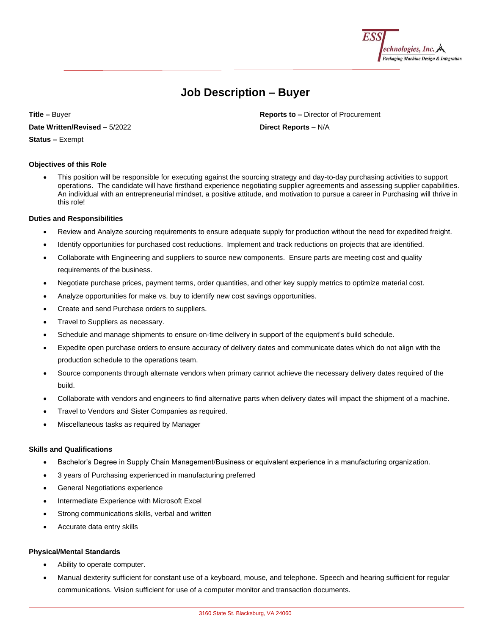

# **Job Description – Buyer**

**Title –** Buyer **Reports to –** Director of Procurement

**Date Written/Revised –** 5/2022 **Direct Reports** – N/A

**Status –** Exempt

# **Objectives of this Role**

• This position will be responsible for executing against the sourcing strategy and day-to-day purchasing activities to support operations. The candidate will have firsthand experience negotiating supplier agreements and assessing supplier capabilities. An individual with an entrepreneurial mindset, a positive attitude, and motivation to pursue a career in Purchasing will thrive in this role!

# **Duties and Responsibilities**

- Review and Analyze sourcing requirements to ensure adequate supply for production without the need for expedited freight.
- Identify opportunities for purchased cost reductions. Implement and track reductions on projects that are identified.
- Collaborate with Engineering and suppliers to source new components. Ensure parts are meeting cost and quality requirements of the business.
- Negotiate purchase prices, payment terms, order quantities, and other key supply metrics to optimize material cost.
- Analyze opportunities for make vs. buy to identify new cost savings opportunities.
- Create and send Purchase orders to suppliers.
- Travel to Suppliers as necessary.
- Schedule and manage shipments to ensure on-time delivery in support of the equipment's build schedule.
- Expedite open purchase orders to ensure accuracy of delivery dates and communicate dates which do not align with the production schedule to the operations team.
- Source components through alternate vendors when primary cannot achieve the necessary delivery dates required of the build.
- Collaborate with vendors and engineers to find alternative parts when delivery dates will impact the shipment of a machine.
- Travel to Vendors and Sister Companies as required.
- Miscellaneous tasks as required by Manager

### **Skills and Qualifications**

- Bachelor's Degree in Supply Chain Management/Business or equivalent experience in a manufacturing organization.
- 3 years of Purchasing experienced in manufacturing preferred
- General Negotiations experience
- Intermediate Experience with Microsoft Excel
- Strong communications skills, verbal and written
- Accurate data entry skills

### **Physical/Mental Standards**

- Ability to operate computer.
- Manual dexterity sufficient for constant use of a keyboard, mouse, and telephone. Speech and hearing sufficient for regular communications. Vision sufficient for use of a computer monitor and transaction documents.